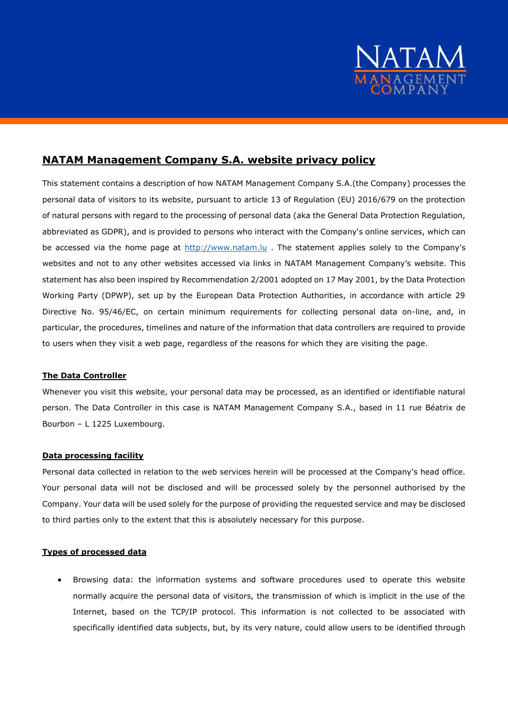

# **NATAM Management Company S.A. website privacy policy**

This statement contains a description of how NATAM Management Company S.A.(the Company) processes the personal data of visitors to its website, pursuant to article 13 of Regulation (EU) 2016/679 on the protection of natural persons with regard to the processing of personal data (aka the General Data Protection Regulation, abbreviated as GDPR), and is provided to persons who interact with the Company's online services, which can be accessed via the home page at [http://www.natam.lu](http://www.natam.lu/) . The statement applies solely to the Company's websites and not to any other websites accessed via links in NATAM Management Company's website. This statement has also been inspired by Recommendation 2/2001 adopted on 17 May 2001, by the Data Protection Working Party (DPWP), set up by the European Data Protection Authorities, in accordance with article 29 Directive No. 95/46/EC, on certain minimum requirements for collecting personal data on-line, and, in particular, the procedures, timelines and nature of the information that data controllers are required to provide to users when they visit a web page, regardless of the reasons for which they are visiting the page.

### **The Data Controller**

Whenever you visit this website, your personal data may be processed, as an identified or identifiable natural person. The Data Controller in this case is NATAM Management Company S.A., based in 11 rue Béatrix de Bourbon – L 1225 Luxembourg.

# **Data processing facility**

Personal data collected in relation to the web services herein will be processed at the Company's head office. Your personal data will not be disclosed and will be processed solely by the personnel authorised by the Company. Your data will be used solely for the purpose of providing the requested service and may be disclosed to third parties only to the extent that this is absolutely necessary for this purpose.

### **Types of processed data**

 Browsing data: the information systems and software procedures used to operate this website normally acquire the personal data of visitors, the transmission of which is implicit in the use of the Internet, based on the TCP/IP protocol. This information is not collected to be associated with specifically identified data subjects, but, by its very nature, could allow users to be identified through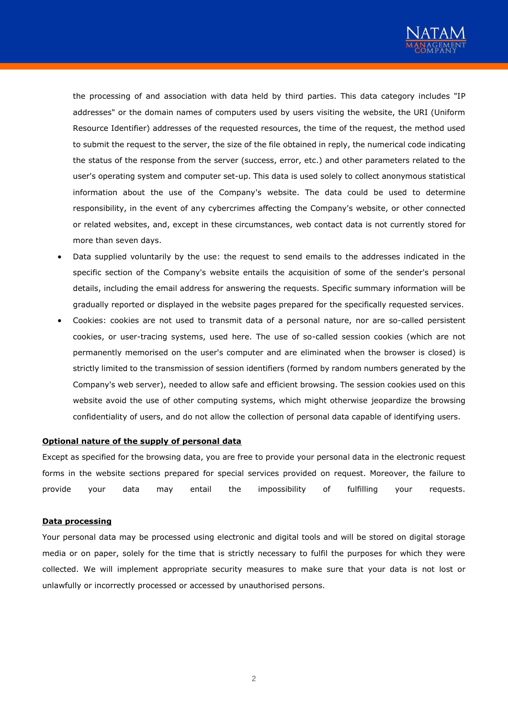

the processing of and association with data held by third parties. This data category includes "IP addresses" or the domain names of computers used by users visiting the website, the URI (Uniform Resource Identifier) addresses of the requested resources, the time of the request, the method used to submit the request to the server, the size of the file obtained in reply, the numerical code indicating the status of the response from the server (success, error, etc.) and other parameters related to the user's operating system and computer set-up. This data is used solely to collect anonymous statistical information about the use of the Company's website. The data could be used to determine responsibility, in the event of any cybercrimes affecting the Company's website, or other connected or related websites, and, except in these circumstances, web contact data is not currently stored for more than seven days.

- Data supplied voluntarily by the use: the request to send emails to the addresses indicated in the specific section of the Company's website entails the acquisition of some of the sender's personal details, including the email address for answering the requests. Specific summary information will be gradually reported or displayed in the website pages prepared for the specifically requested services.
- Cookies: cookies are not used to transmit data of a personal nature, nor are so-called persistent cookies, or user-tracing systems, used here. The use of so-called session cookies (which are not permanently memorised on the user's computer and are eliminated when the browser is closed) is strictly limited to the transmission of session identifiers (formed by random numbers generated by the Company's web server), needed to allow safe and efficient browsing. The session cookies used on this website avoid the use of other computing systems, which might otherwise jeopardize the browsing confidentiality of users, and do not allow the collection of personal data capable of identifying users.

#### **Optional nature of the supply of personal data**

Except as specified for the browsing data, you are free to provide your personal data in the electronic request forms in the website sections prepared for special services provided on request. Moreover, the failure to provide your data may entail the impossibility of fulfilling your requests.

#### **Data processing**

Your personal data may be processed using electronic and digital tools and will be stored on digital storage media or on paper, solely for the time that is strictly necessary to fulfil the purposes for which they were collected. We will implement appropriate security measures to make sure that your data is not lost or unlawfully or incorrectly processed or accessed by unauthorised persons.